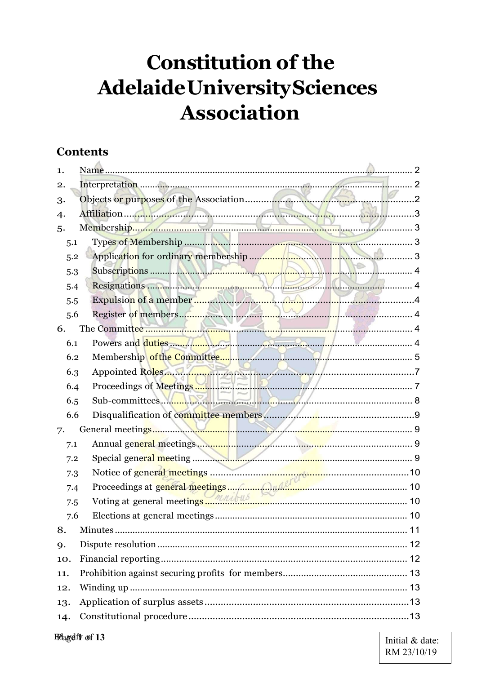# **Constitution of the** Adelaide University Sciences **Association**

# **Contents**

| 1.             |                                                                                                                                                                                                                            |   |
|----------------|----------------------------------------------------------------------------------------------------------------------------------------------------------------------------------------------------------------------------|---|
| 2.             |                                                                                                                                                                                                                            | 2 |
| 3.             |                                                                                                                                                                                                                            |   |
| $\overline{4}$ |                                                                                                                                                                                                                            | 3 |
| 5.             | 3                                                                                                                                                                                                                          |   |
| 5.1            |                                                                                                                                                                                                                            |   |
| 5.2            | . 3                                                                                                                                                                                                                        |   |
| 5.3            | $\overline{a}$                                                                                                                                                                                                             |   |
| 5.4            |                                                                                                                                                                                                                            |   |
| 5.5            |                                                                                                                                                                                                                            |   |
| 5.6            |                                                                                                                                                                                                                            |   |
| 6.             |                                                                                                                                                                                                                            |   |
| 6.1            |                                                                                                                                                                                                                            |   |
| 6.2            |                                                                                                                                                                                                                            |   |
| 6.3            | Appointed Roles                                                                                                                                                                                                            |   |
| 6.4            |                                                                                                                                                                                                                            |   |
| 6.5            | Sub-committees May 1999                                                                                                                                                                                                    |   |
| 6.6            |                                                                                                                                                                                                                            |   |
| 7.             |                                                                                                                                                                                                                            |   |
| 7.1            |                                                                                                                                                                                                                            |   |
| 7.2            |                                                                                                                                                                                                                            |   |
| 7.3            |                                                                                                                                                                                                                            |   |
| 7.4            | Proceedings at general meetings  Common and the common contract of the contract of the contract of the contract of the contract of the contract of the contract of the contract of the contract of the contract of the con |   |
| 7.5            |                                                                                                                                                                                                                            |   |
| 7.6            |                                                                                                                                                                                                                            |   |
| 8.             |                                                                                                                                                                                                                            |   |
| 9.             |                                                                                                                                                                                                                            |   |
| 10.            |                                                                                                                                                                                                                            |   |
| 11.            |                                                                                                                                                                                                                            |   |
| 12.            |                                                                                                                                                                                                                            |   |
| 13.            |                                                                                                                                                                                                                            |   |
| 14.            |                                                                                                                                                                                                                            |   |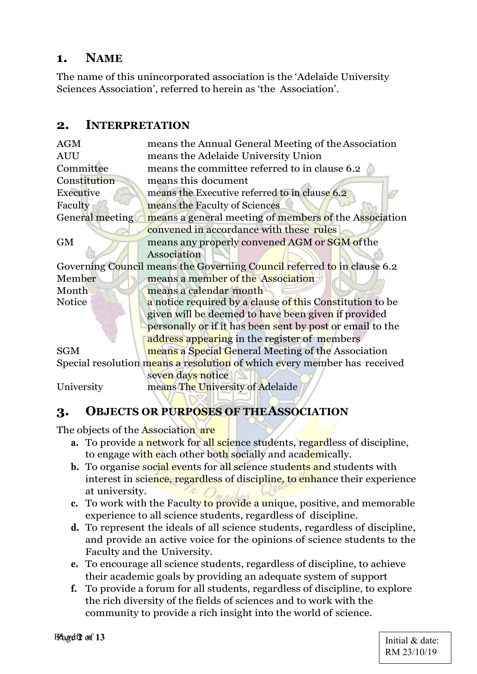# 1. NAME

The name of this unincorporated association is the 'Adelaide University Sciences Association', referred to herein as 'the Association'.

## 2. INTERPRETATION

| <b>AGM</b>      | means the Annual General Meeting of the Association                      |
|-----------------|--------------------------------------------------------------------------|
| <b>AUU</b>      | means the Adelaide University Union                                      |
| Committee       | means the committee referred to in clause 6.2                            |
| Constitution    | means this document                                                      |
| Executive       | means the Executive referred to in clause 6.2                            |
| Faculty         | means the Faculty of Sciences                                            |
| General meeting | means a general meeting of members of the Association                    |
|                 | convened in accordance with these rules                                  |
| <b>GM</b>       | means any properly convened AGM or SGM of the                            |
|                 | Association                                                              |
|                 | Governing Council means the Governing Council referred to in clause 6.2  |
| Member          | means a member of the Association                                        |
| Month           | means a calendar month                                                   |
| <b>Notice</b>   | a notice required by a clause of this Constitution to be                 |
|                 | given will be deemed to have been given if provided                      |
|                 | personally or if it has been sent by post or email to the                |
|                 | address appearing in the register of members                             |
| <b>SGM</b>      | means a Special General Meeting of the Association                       |
|                 | Special resolution means a resolution of which every member has received |
|                 | seven days notice                                                        |
| University      | means The University of Adelaide                                         |
|                 |                                                                          |

# 3. OBJECTS OR PURPOSES OF THE ASSOCIATION

The objects of the Association are

- a. To provide a network for all science students, regardless of discipline, to engage with each other both socially and academically.
- **b.** To organise social events for all science students and students with interest in science, regardless of discipline, to enhance their experience at university.
- c. To work with the Faculty to provide a unique, positive, and memorable experience to all science students, regardless of discipline.
- d. To represent the ideals of all science students, regardless of discipline, and provide an active voice for the opinions of science students to the Faculty and the University.
- e. To encourage all science students, regardless of discipline, to achieve their academic goals by providing an adequate system of support
- f. To provide a forum for all students, regardless of discipline, to explore the rich diversity of the fields of sciences and to work with the community to provide a rich insight into the world of science.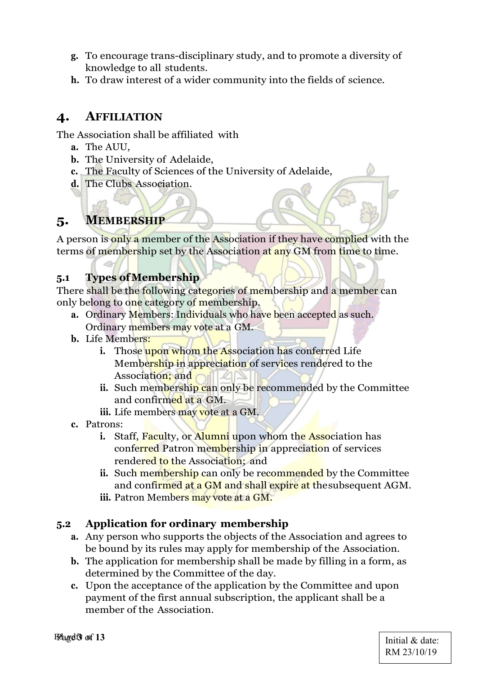- g. To encourage trans-disciplinary study, and to promote a diversity of knowledge to all students.
- h. To draw interest of a wider community into the fields of science.

# 4. AFFILIATION

The Association shall be affiliated with

- a. The AUU,
- b. The University of Adelaide,
- c. The Faculty of Sciences of the University of Adelaide,
- d. The Clubs Association.

# 5. MEMBERSHIP

A person is only a member of the Association if they have complied with the terms of membership set by the Association at any GM from time to time.

## 5.1 Types of Membership

There shall be the following categories of membership and a member can only belong to one category of membership.

- a. Ordinary Members: Individuals who have been accepted as such. Ordinary members may vote at a GM.
- b. Life Members:
	- i. Those upon whom the Association has conferred Life Membership in appreciation of services rendered to the Association; and
	- i. Such membership can only be recommended by the Committee and confirmed at a GM.
	- iii. Life members may vote at a GM.
- c. Patrons:
	- i. Staff, Faculty, or Alumni upon whom the Association has conferred Patron membership in appreciation of services rendered to the Association; and
	- i. Such membership can only be recommended by the Committee and confirmed at a GM and shall expire at the subsequent AGM.
	- iii. Patron Members may vote at a GM.

#### 5.2 Application for ordinary membership

- a. Any person who supports the objects of the Association and agrees to be bound by its rules may apply for membership of the Association.
- b. The application for membership shall be made by filling in a form, as determined by the Committee of the day.
- c. Upon the acceptance of the application by the Committee and upon payment of the first annual subscription, the applicant shall be a member of the Association.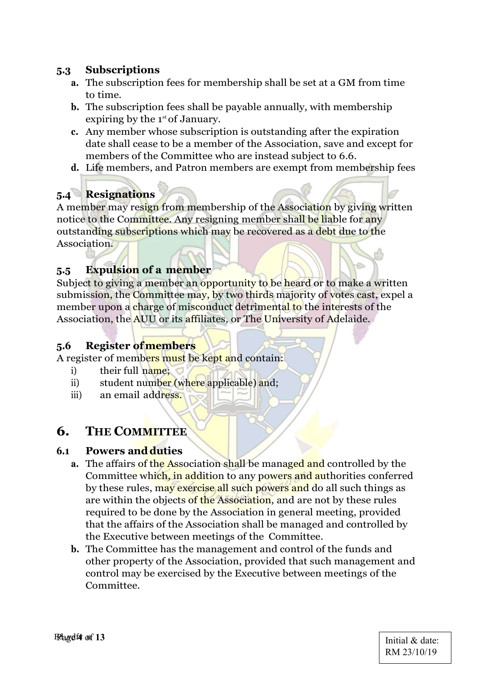#### 5.3 Subscriptions

- a. The subscription fees for membership shall be set at a GM from time to time.
- b. The subscription fees shall be payable annually, with membership expiring by the  $1<sup>st</sup>$  of January.
- c. Any member whose subscription is outstanding after the expiration date shall cease to be a member of the Association, save and except for members of the Committee who are instead subject to 6.6.
- d. Life members, and Patron members are exempt from membership fees

# 5.4 Resignations

A member may resign from membership of the Association by giving written notice to the Committee. Any resigning member shall be liable for any outstanding subscriptions which may be recovered as a debt due to the Association.

## 5.5 Expulsion of a member

Subject to giving a member an opportunity to be heard or to make a written submission, the Committee may, by two thirds majority of votes cast, expel a member upon a charge of misconduct detrimental to the interests of the Association, the AUU or its affiliates, or The University of Adelaide.

#### 5.6 Register of members

A register of members must be kept and contain:

- i) their full name;
- ii) student number (where applicable) and;
- iii) an email address.

# 6. THE COMMITTEE

#### 6.1 Powers and duties

- a. The affairs of the Association shall be managed and controlled by the Committee which, in addition to any powers and authorities conferred by these rules, may exercise all such powers and do all such things as are within the objects of the Association, and are not by these rules required to be done by the Association in general meeting, provided that the affairs of the Association shall be managed and controlled by the Executive between meetings of the Committee.
- b. The Committee has the management and control of the funds and other property of the Association, provided that such management and control may be exercised by the Executive between meetings of the Committee.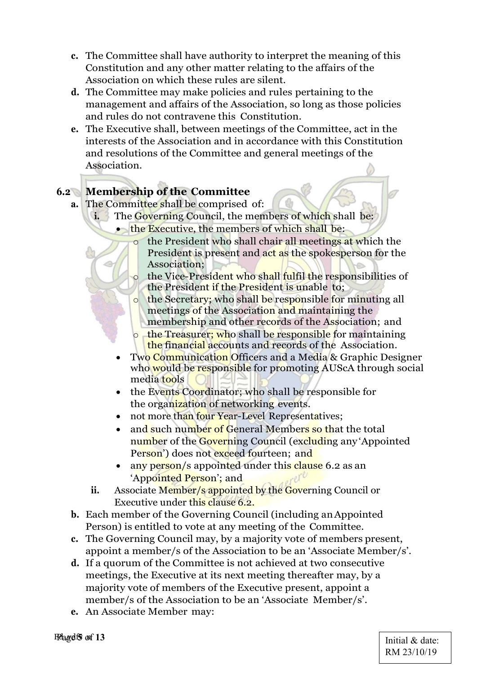- c. The Committee shall have authority to interpret the meaning of this Constitution and any other matter relating to the affairs of the Association on which these rules are silent.
- d. The Committee may make policies and rules pertaining to the management and affairs of the Association, so long as those policies and rules do not contravene this Constitution.
- e. The Executive shall, between meetings of the Committee, act in the interests of the Association and in accordance with this Constitution and resolutions of the Committee and general meetings of the Association.

# 6.2 Membership of the Committee

- a. The Committee shall be comprised of:
	- i. The Governing Council, the members of which shall be:
		- $\bullet$  the Executive, the members of which shall be:
			- the President who shall chair all meetings at which the President is present and act as the spokesperson for the Association;
			- the Vice-President who shall fulfil the responsibilities of the President if the President is unable to;
			- o the Secretary; who shall be responsible for minuting all meetings of the Association and maintaining the membership and other records of the Association; and
			- o the Treasurer; who shall be responsible for maintaining the financial accounts and records of the Association.
		- Two Communication Officers and a Media & Graphic Designer who would be responsible for promoting AUScA through social media tools
		- the Events Coordinator; who shall be responsible for the organization of networking events.
		- not more than four Year-Level Representatives;
		- and such number of General Members so that the total number of the Governing Council (excluding any Appointed Person') does not exceed fourteen; and
		- any person/s appointed under this clause 6.2 as an 'Appointed Person'; and
	- ii. Associate Member/s appointed by the Governing Council or Executive under this clause 6.2.
- b. Each member of the Governing Council (including an Appointed Person) is entitled to vote at any meeting of the Committee.
- c. The Governing Council may, by a majority vote of members present, appoint a member/s of the Association to be an 'Associate Member/s'.
- d. If a quorum of the Committee is not achieved at two consecutive meetings, the Executive at its next meeting thereafter may, by a majority vote of members of the Executive present, appoint a member/s of the Association to be an 'Associate Member/s'.
- e. An Associate Member may:

Feagets of 13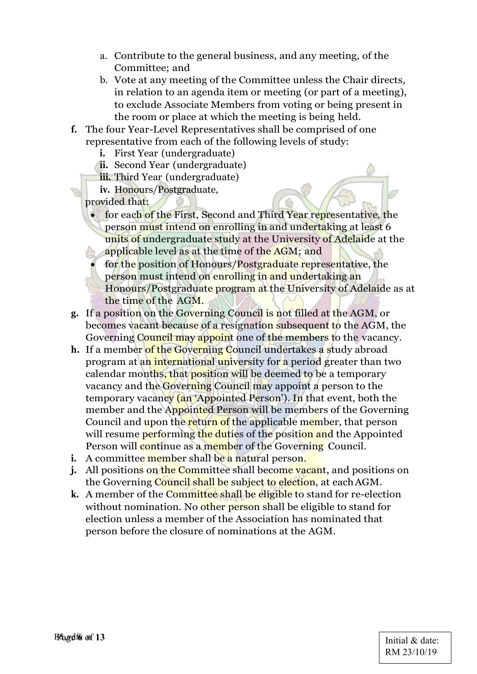- a. Contribute to the general business, and any meeting, of the Committee; and
- b. Vote at any meeting of the Committee unless the Chair directs, in relation to an agenda item or meeting (or part of a meeting), to exclude Associate Members from voting or being present in the room or place at which the meeting is being held.
- f. The four Year-Level Representatives shall be comprised of one representative from each of the following levels of study:
	- i. First Year (undergraduate)
	- ii. Second Year (undergraduate)
	- iii. Third Year (undergraduate)
	- iv. Honours/Postgraduate,

provided that:

- **for each of the First, Second and Third Year representative, the** person must intend on enrolling in and undertaking at least 6 units of undergraduate study at the University of Adelaide at the applicable level as at the time of the AGM; and
	- for the position of Honours/Postgraduate representative, the person must intend on enrolling in and undertaking an Honours/Postgraduate program at the University of Adelaide as at the time of the AGM.
- g. If a position on the Governing Council is not filled at the AGM, or becomes vacant because of a resignation subsequent to the AGM, the Governing Council may appoint one of the members to the vacancy.
- h. If a member of the Governing Council undertakes a study abroad program at an international university for a period greater than two calendar months, that position will be deemed to be a temporary vacancy and the Governing Council may appoint a person to the temporary vacancy (an 'Appointed Person'). In that event, both the member and the Appointed Person will be members of the Governing Council and upon the return of the applicable member, that person will resume performing the duties of the position and the Appointed Person will continue as a member of the Governing Council.
- i. A committee member shall be a natural person.
- **j.** All positions on the Committee shall become vacant, and positions on the Governing Council shall be subject to election, at each AGM.
- k. A member of the Committee shall be eligible to stand for re-election without nomination. No other person shall be eligible to stand for election unless a member of the Association has nominated that person before the closure of nominations at the AGM.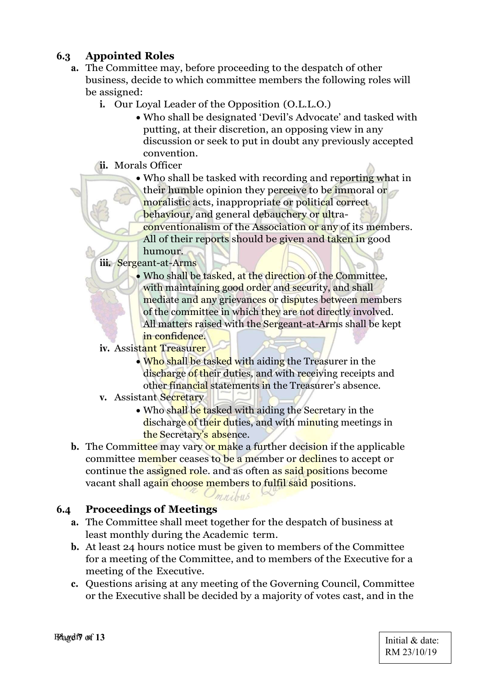# 6.3 Appointed Roles

- a. The Committee may, before proceeding to the despatch of other business, decide to which committee members the following roles will be assigned:
	- i. Our Loyal Leader of the Opposition (O.L.L.O.)
		- Who shall be designated 'Devil's Advocate' and tasked with putting, at their discretion, an opposing view in any discussion or seek to put in doubt any previously accepted convention.
	- ii. Morals Officer
		- Who shall be tasked with recording and reporting what in their humble opinion they perceive to be immoral or moralistic acts, inappropriate or political correct behaviour, and general debauchery or ultraconventionalism of the Association or any of its members.
			- All of their reports should be given and taken in good humour.
	- iii. Sergeant-at-Arms
		- Who shall be tasked, at the direction of the Committee, with maintaining good order and security, and shall mediate and any grievances or disputes between members of the committee in which they are not directly involved. All matters raised with the Sergeant-at-Arms shall be kept in confidence.
	- iv. Assistant Treasurer
		- Who shall be tasked with aiding the Treasurer in the discharge of their duties, and with receiving receipts and other financial statements in the Treasurer's absence.
	- v. Assistant Secretary
		- Who shall be tasked with aiding the Secretary in the discharge of their duties, and with minuting meetings in the Secretary's absence.
- b. The Committee may vary or make a further decision if the applicable committee member ceases to be a member or declines to accept or continue the assigned role. and as often as said positions become vacant shall again choose members to fulfil said positions.

#### 6.4 Proceedings of Meetings

a. The Committee shall meet together for the despatch of business at least monthly during the Academic term.

 $O$ *mnibus* 

- b. At least 24 hours notice must be given to members of the Committee for a meeting of the Committee, and to members of the Executive for a meeting of the Executive.
- c. Questions arising at any meeting of the Governing Council, Committee or the Executive shall be decided by a majority of votes cast, and in the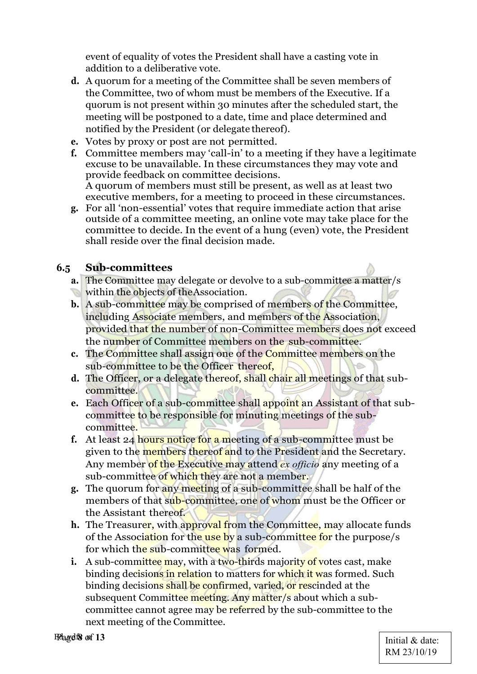event of equality of votes the President shall have a casting vote in addition to a deliberative vote.

- d. A quorum for a meeting of the Committee shall be seven members of the Committee, two of whom must be members of the Executive. If a quorum is not present within 30 minutes after the scheduled start, the meeting will be postponed to a date, time and place determined and notified by the President (or delegate thereof).
- e. Votes by proxy or post are not permitted.
- f. Committee members may 'call-in' to a meeting if they have a legitimate excuse to be unavailable. In these circumstances they may vote and provide feedback on committee decisions. A quorum of members must still be present, as well as at least two executive members, for a meeting to proceed in these circumstances.
- g. For all 'non-essential' votes that require immediate action that arise outside of a committee meeting, an online vote may take place for the committee to decide. In the event of a hung (even) vote, the President shall reside over the final decision made.

#### 6.5 Sub-committees

- a. The Committee may delegate or devolve to a sub-committee a matter/s within the objects of the Association.
- b. A sub-committee may be comprised of members of the Committee, including Associate members, and members of the Association, provided that the number of non-Committee members does not exceed the number of Committee members on the sub-committee.
- c. The Committee shall assign one of the Committee members on the sub-committee to be the Officer thereof,
- d. The Officer, or a delegate thereof, shall chair all meetings of that subcommittee.
- e. Each Officer of a sub-committee shall appoint an Assistant of that subcommittee to be responsible for minuting meetings of the subcommittee.
- f. At least 24 hours notice for a meeting of a sub-committee must be given to the members thereof and to the President and the Secretary. Any member of the Executive may attend *ex officio* any meeting of a sub-committee of which they are not a member.
- g. The quorum for any meeting of a sub-committee shall be half of the members of that sub-committee, one of whom must be the Officer or the Assistant thereof.
- h. The Treasurer, with approval from the Committee, may allocate funds of the Association for the use by a sub-committee for the purpose/s for which the sub-committee was formed.
- i. A sub-committee may, with a two-thirds majority of votes cast, make binding decisions in relation to matters for which it was formed. Such binding decisions shall be confirmed, varied, or rescinded at the subsequent Committee meeting. Any matter/s about which a subcommittee cannot agree may be referred by the sub-committee to the next meeting of the Committee.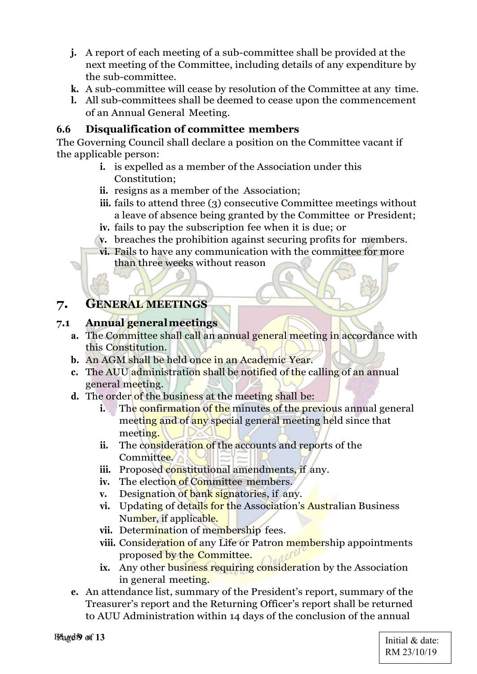- j. A report of each meeting of a sub-committee shall be provided at the next meeting of the Committee, including details of any expenditure by the sub-committee.
- k. A sub-committee will cease by resolution of the Committee at any time.
- l. All sub-committees shall be deemed to cease upon the commencement of an Annual General Meeting.

#### 6.6 Disqualification of committee members

The Governing Council shall declare a position on the Committee vacant if the applicable person:

- i. is expelled as a member of the Association under this Constitution;
- ii. resigns as a member of the Association;
- iii. fails to attend three (3) consecutive Committee meetings without a leave of absence being granted by the Committee or President;
- iv. fails to pay the subscription fee when it is due; or
- v. breaches the prohibition against securing profits for members.
- vi. Fails to have any communication with the committee for more than three weeks without reason

## 7. GENERAL MEETINGS

#### 7.1 Annual general meetings

- a. The Committee shall call an annual general meeting in accordance with this Constitution.
- b. An AGM shall be held once in an Academic Year.
- c. The AUU administration shall be notified of the calling of an annual general meeting.
- d. The order of the business at the meeting shall be:
	- i. The confirmation of the minutes of the previous annual general meeting and of any special general meeting held since that meeting.
	- ii. The consideration of the accounts and reports of the Committee.
	- iii. Proposed constitutional amendments, if any.
	- iv. The election of Committee members.
	- v. Designation of bank signatories, if any.
	- vi. Updating of details for the Association's Australian Business Number, if applicable.
	- vii. Determination of membership fees.
	- viii. Consideration of any Life or Patron membership appointments proposed by the Committee.
	- ix. Any other business requiring consideration by the Association in general meeting.
- e. An attendance list, summary of the President's report, summary of the Treasurer's report and the Returning Officer's report shall be returned to AUU Administration within 14 days of the conclusion of the annual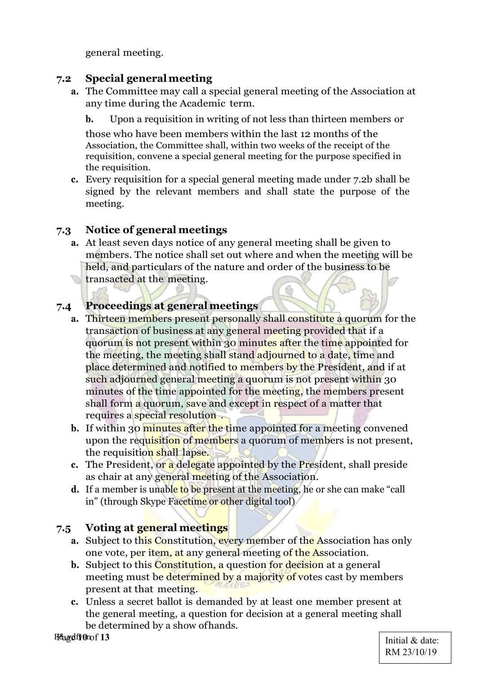general meeting.

#### 7.2 Special general meeting

- a. The Committee may call a special general meeting of the Association at any time during the Academic term.
	- b. Upon a requisition in writing of not less than thirteen members or

those who have been members within the last 12 months of the Association, the Committee shall, within two weeks of the receipt of the requisition, convene a special general meeting for the purpose specified in the requisition.

c. Every requisition for a special general meeting made under 7.2b shall be signed by the relevant members and shall state the purpose of the meeting.

## 7.3 Notice of general meetings

a. At least seven days notice of any general meeting shall be given to members. The notice shall set out where and when the meeting will be held, and particulars of the nature and order of the business to be **transacted at the meeting.** 

#### 7.4 Proceedings at general meetings

- a. Thirteen members present personally shall constitute a quorum for the transaction of business at any general meeting provided that if a quorum is not present within 30 minutes after the time appointed for the meeting, the meeting shall stand adjourned to a date, time and place determined and notified to members by the President, and if at such adjourned general meeting a quorum is not present within 30 minutes of the time appointed for the meeting, the members present shall form a quorum, save and except in respect of a matter that requires a special resolution .
- b. If within 30 minutes after the time appointed for a meeting convened upon the requisition of members a quorum of members is not present, the requisition shall lapse.
- c. The President, or a delegate appointed by the President, shall preside as chair at any general meeting of the Association.
- d. If a member is unable to be present at the meeting, he or she can make "call in" (through Skype Facetime or other digital tool)

#### 7.5 Voting at general meetings

- a. Subject to this Constitution, every member of the Association has only one vote, per item, at any general meeting of the Association.
- b. Subject to this **Constitution**, a question for decision at a general meeting must be determined by a majority of votes cast by members present at that meeting.
- c. Unless a secret ballot is demanded by at least one member present at the general meeting, a question for decision at a general meeting shall be determined by a show of hands.

Felagelfr0nof 13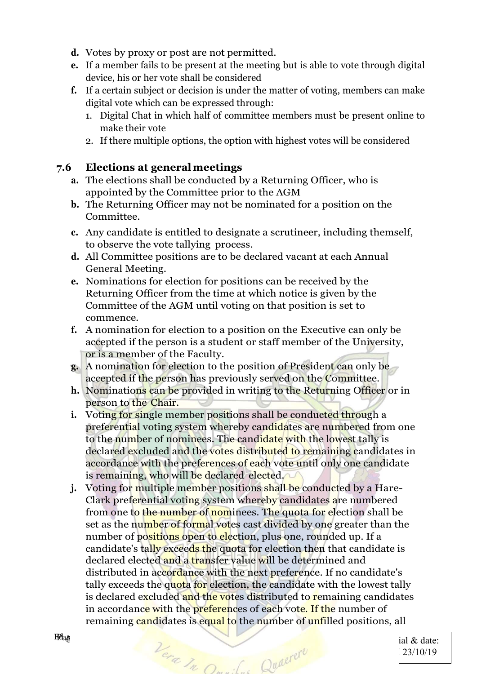- d. Votes by proxy or post are not permitted.
- e. If a member fails to be present at the meeting but is able to vote through digital device, his or her vote shall be considered
- f. If a certain subject or decision is under the matter of voting, members can make digital vote which can be expressed through:
	- 1. Digital Chat in which half of committee members must be present online to make their vote
	- 2. If there multiple options, the option with highest votes will be considered

#### 7.6 Elections at general meetings

- a. The elections shall be conducted by a Returning Officer, who is appointed by the Committee prior to the AGM
- b. The Returning Officer may not be nominated for a position on the Committee.
- c. Any candidate is entitled to designate a scrutineer, including themself, to observe the vote tallying process.
- d. All Committee positions are to be declared vacant at each Annual General Meeting.
- e. Nominations for election for positions can be received by the Returning Officer from the time at which notice is given by the Committee of the AGM until voting on that position is set to commence.
- f. A nomination for election to a position on the Executive can only be accepted if the person is a student or staff member of the University, or is a member of the Faculty.
- g. A nomination for election to the position of President can only be accepted if the person has previously served on the Committee.
- h. Nominations can be provided in writing to the Returning Officer or in person to the Chair.
- i. Voting for single member positions shall be conducted through a preferential voting system whereby candidates are numbered from one to the number of nominees. The candidate with the lowest tally is declared excluded and the votes distributed to remaining candidates in accordance with the preferences of each vote until only one candidate is remaining, who will be declared elected.
- **j.** Voting for multiple member positions shall be conducted by a Hare-Clark preferential voting system whereby candidates are numbered from one to the number of nominees. The quota for election shall be set as the number of formal votes cast divided by one greater than the number of positions open to election, plus one, rounded up. If a candidate's tally exceeds the quota for election then that candidate is declared elected and a transfer value will be determined and distributed in accordance with the next preference. If no candidate's tally exceeds the quota for election, the candidate with the lowest tally is declared excluded and the votes distributed to remaining candidates in accordance with the preferences of each vote. If the number of remaining candidates is equal to the number of unfilled positions, all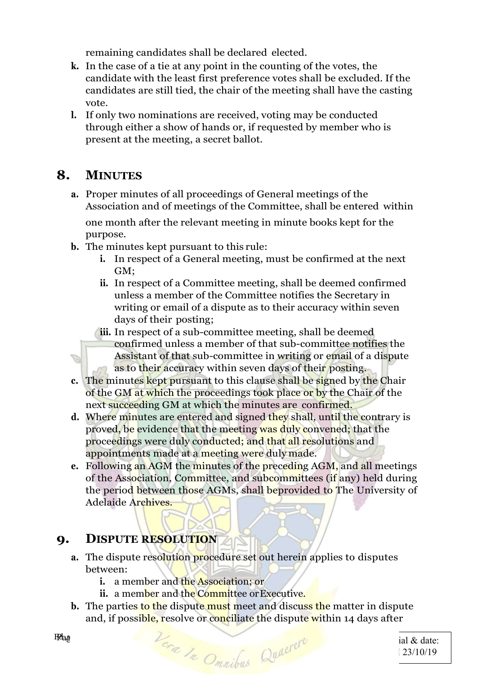remaining candidates shall be declared elected.

- k. In the case of a tie at any point in the counting of the votes, the candidate with the least first preference votes shall be excluded. If the candidates are still tied, the chair of the meeting shall have the casting vote.
- l. If only two nominations are received, voting may be conducted through either a show of hands or, if requested by member who is present at the meeting, a secret ballot.

# 8. MINUTES

a. Proper minutes of all proceedings of General meetings of the Association and of meetings of the Committee, shall be entered within

one month after the relevant meeting in minute books kept for the purpose.

- b. The minutes kept pursuant to this rule:
	- i. In respect of a General meeting, must be confirmed at the next GM;
	- ii. In respect of a Committee meeting, shall be deemed confirmed unless a member of the Committee notifies the Secretary in writing or email of a dispute as to their accuracy within seven days of their posting;
	- iii. In respect of a sub-committee meeting, shall be deemed confirmed unless a member of that sub-committee notifies the Assistant of that sub-committee in writing or email of a dispute as to their accuracy within seven days of their posting.
- c. The minutes kept pursuant to this clause shall be signed by the Chair of the GM at which the proceedings took place or by the Chair of the next succeeding GM at which the minutes are confirmed.
- d. Where minutes are entered and signed they shall, until the contrary is proved, be evidence that the meeting was duly convened; that the proceedings were duly conducted; and that all resolutions and appointments made at a meeting were duly made.
- e. Following an AGM the minutes of the preceding AGM, and all meetings of the Association, Committee, and subcommittees (if any) held during the period between those AGMs, shall beprovided to The University of Adelaide Archives.

# 9. DISPUTE RESOLUTION

- a. The dispute resolution procedure set out herein applies to disputes between:
	- i. a member and the Association; or
	- ii. a member and the Committee or Executive.
- b. The parties to the dispute must meet and discuss the matter in dispute and, if possible, resolve or conciliate the dispute within 14 days after